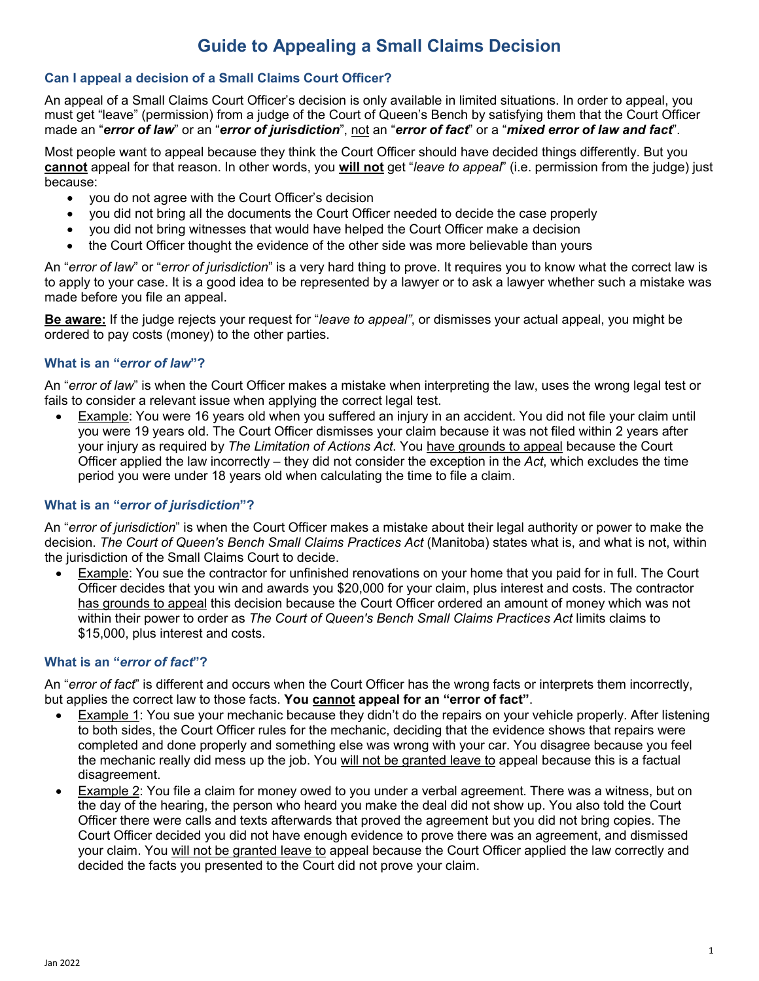# **Guide to Appealing a Small Claims Decision**

## **Can I appeal a decision of a Small Claims Court Officer?**

An appeal of a Small Claims Court Officer's decision is only available in limited situations. In order to appeal, you must get "leave" (permission) from a judge of the Court of Queen's Bench by satisfying them that the Court Officer made an "*error of law*" or an "*error of jurisdiction*", not an "*error of fact*" or a "*mixed error of law and fact*".

Most people want to appeal because they think the Court Officer should have decided things differently. But you **cannot** appeal for that reason. In other words, you **will not** get "*leave to appeal*" (i.e. permission from the judge) just because:

- you do not agree with the Court Officer's decision
- you did not bring all the documents the Court Officer needed to decide the case properly
- you did not bring witnesses that would have helped the Court Officer make a decision
- the Court Officer thought the evidence of the other side was more believable than yours

An "*error of law*" or "*error of jurisdiction*" is a very hard thing to prove. It requires you to know what the correct law is to apply to your case. It is a good idea to be represented by a lawyer or to ask a lawyer whether such a mistake was made before you file an appeal.

**Be aware:** If the judge rejects your request for "*leave to appeal"*, or dismisses your actual appeal, you might be ordered to pay costs (money) to the other parties.

#### **What is an "***error of law***"?**

An "*error of law*" is when the Court Officer makes a mistake when interpreting the law, uses the wrong legal test or fails to consider a relevant issue when applying the correct legal test.

• Example: You were 16 years old when you suffered an injury in an accident. You did not file your claim until you were 19 years old. The Court Officer dismisses your claim because it was not filed within 2 years after your injury as required by *The Limitation of Actions Act*. You have grounds to appeal because the Court Officer applied the law incorrectly – they did not consider the exception in the *Act*, which excludes the time period you were under 18 years old when calculating the time to file a claim.

## **What is an "***error of jurisdiction***"?**

An "*error of jurisdiction*" is when the Court Officer makes a mistake about their legal authority or power to make the decision. *The Court of Queen's Bench Small Claims Practices Act* (Manitoba) states what is, and what is not, within the jurisdiction of the Small Claims Court to decide.

• Example: You sue the contractor for unfinished renovations on your home that you paid for in full. The Court Officer decides that you win and awards you \$20,000 for your claim, plus interest and costs. The contractor has grounds to appeal this decision because the Court Officer ordered an amount of money which was not within their power to order as *The Court of Queen's Bench Small Claims Practices Act* limits claims to \$15,000, plus interest and costs.

#### **What is an "***error of fact***"?**

An "*error of fact*" is different and occurs when the Court Officer has the wrong facts or interprets them incorrectly, but applies the correct law to those facts. **You cannot appeal for an "error of fact"**.

- Example 1: You sue your mechanic because they didn't do the repairs on your vehicle properly. After listening to both sides, the Court Officer rules for the mechanic, deciding that the evidence shows that repairs were completed and done properly and something else was wrong with your car. You disagree because you feel the mechanic really did mess up the job. You will not be granted leave to appeal because this is a factual disagreement.
- Example 2: You file a claim for money owed to you under a verbal agreement. There was a witness, but on the day of the hearing, the person who heard you make the deal did not show up. You also told the Court Officer there were calls and texts afterwards that proved the agreement but you did not bring copies. The Court Officer decided you did not have enough evidence to prove there was an agreement, and dismissed your claim. You will not be granted leave to appeal because the Court Officer applied the law correctly and decided the facts you presented to the Court did not prove your claim.